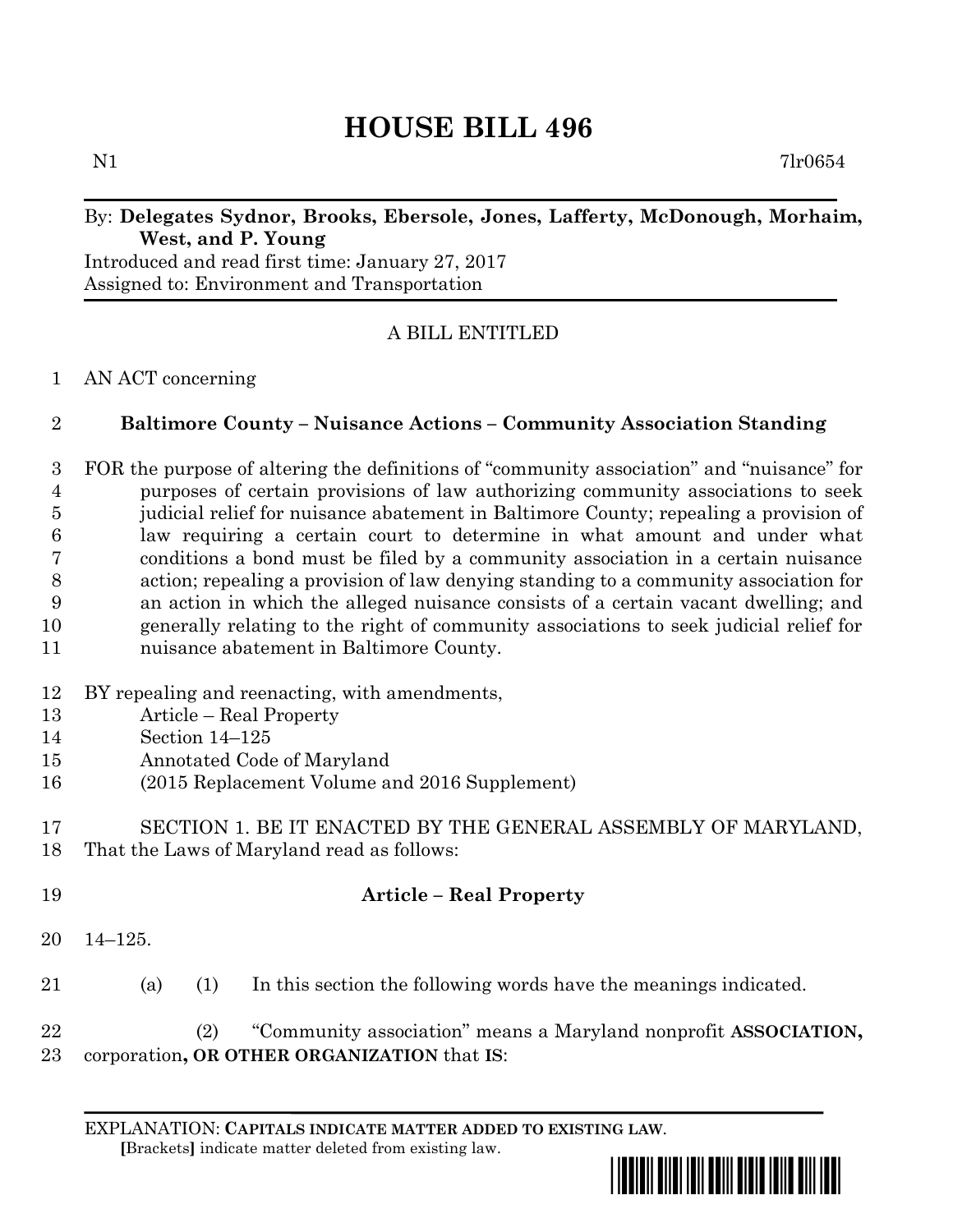# **HOUSE BILL 496**

N1 7lr0654

## By: **Delegates Sydnor, Brooks, Ebersole, Jones, Lafferty, McDonough, Morhaim, West, and P. Young**

Introduced and read first time: January 27, 2017 Assigned to: Environment and Transportation

## A BILL ENTITLED

### AN ACT concerning

## **Baltimore County – Nuisance Actions – Community Association Standing**

 FOR the purpose of altering the definitions of "community association" and "nuisance" for purposes of certain provisions of law authorizing community associations to seek judicial relief for nuisance abatement in Baltimore County; repealing a provision of law requiring a certain court to determine in what amount and under what conditions a bond must be filed by a community association in a certain nuisance action; repealing a provision of law denying standing to a community association for an action in which the alleged nuisance consists of a certain vacant dwelling; and generally relating to the right of community associations to seek judicial relief for nuisance abatement in Baltimore County.

- BY repealing and reenacting, with amendments,
- Article Real Property
- Section 14–125
- Annotated Code of Maryland
- (2015 Replacement Volume and 2016 Supplement)
- SECTION 1. BE IT ENACTED BY THE GENERAL ASSEMBLY OF MARYLAND, That the Laws of Maryland read as follows:
- **Article – Real Property** 14–125. (a) (1) In this section the following words have the meanings indicated.
- (2) "Community association" means a Maryland nonprofit **ASSOCIATION,** corporation**, OR OTHER ORGANIZATION** that **IS**:

EXPLANATION: **CAPITALS INDICATE MATTER ADDED TO EXISTING LAW**.  **[**Brackets**]** indicate matter deleted from existing law.

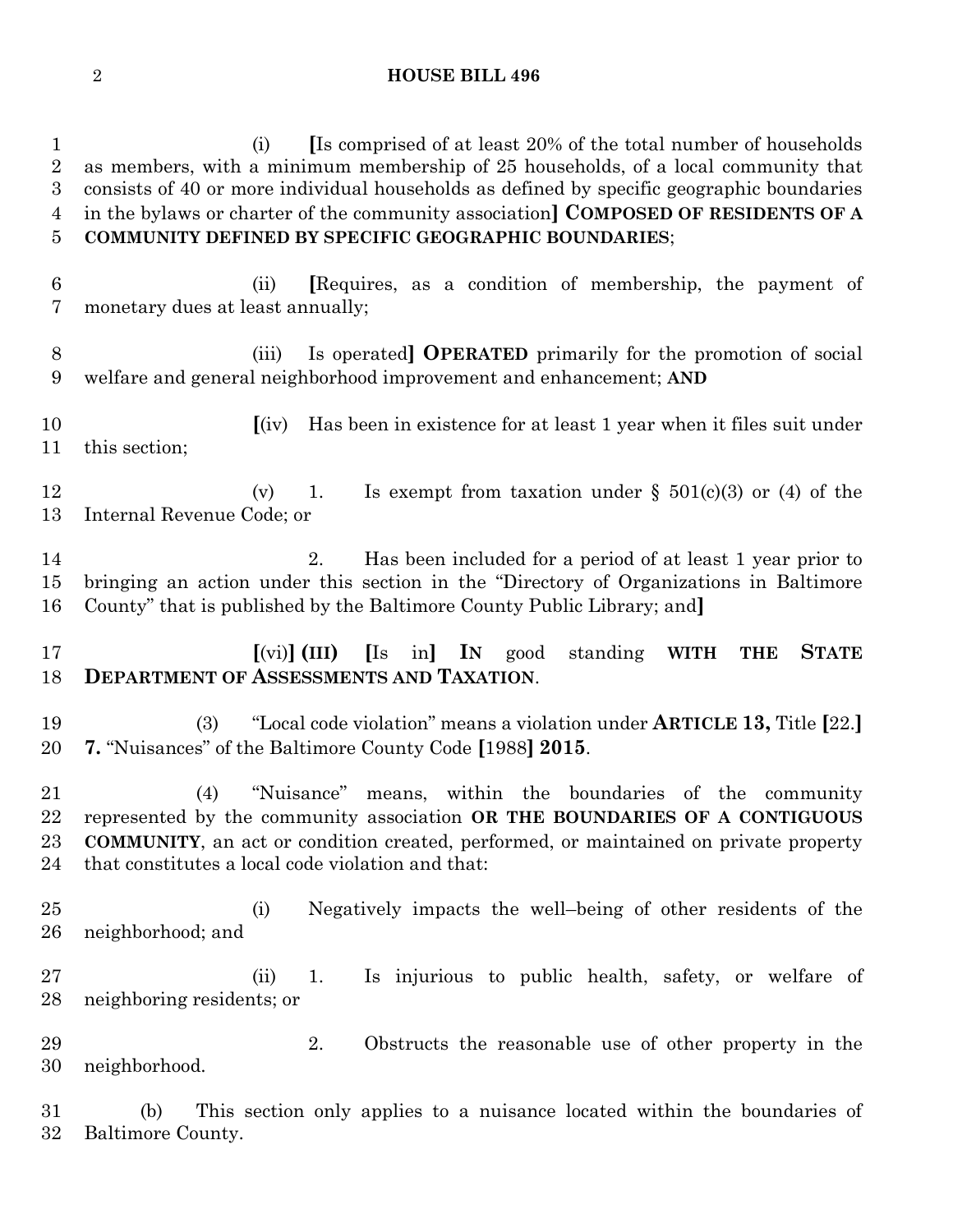#### **HOUSE BILL 496**

 (i) **[**Is comprised of at least 20% of the total number of households as members, with a minimum membership of 25 households, of a local community that consists of 40 or more individual households as defined by specific geographic boundaries in the bylaws or charter of the community association**] COMPOSED OF RESIDENTS OF A COMMUNITY DEFINED BY SPECIFIC GEOGRAPHIC BOUNDARIES**; (ii) **[**Requires, as a condition of membership, the payment of monetary dues at least annually; (iii) Is operated**] OPERATED** primarily for the promotion of social welfare and general neighborhood improvement and enhancement; **AND [**(iv) Has been in existence for at least 1 year when it files suit under this section; 12 (v) 1. Is exempt from taxation under  $\S$  501(c)(3) or (4) of the Internal Revenue Code; or 2. Has been included for a period of at least 1 year prior to bringing an action under this section in the "Directory of Organizations in Baltimore County" that is published by the Baltimore County Public Library; and**] [**(vi)**] (III) [**Is in**] IN** good standing **WITH THE STATE DEPARTMENT OF ASSESSMENTS AND TAXATION**. (3) "Local code violation" means a violation under **ARTICLE 13,** Title **[**22.**] 7.** "Nuisances" of the Baltimore County Code **[**1988**] 2015**. (4) "Nuisance" means, within the boundaries of the community represented by the community association **OR THE BOUNDARIES OF A CONTIGUOUS COMMUNITY**, an act or condition created, performed, or maintained on private property that constitutes a local code violation and that: (i) Negatively impacts the well–being of other residents of the neighborhood; and (ii) 1. Is injurious to public health, safety, or welfare of neighboring residents; or 2. Obstructs the reasonable use of other property in the neighborhood. (b) This section only applies to a nuisance located within the boundaries of Baltimore County.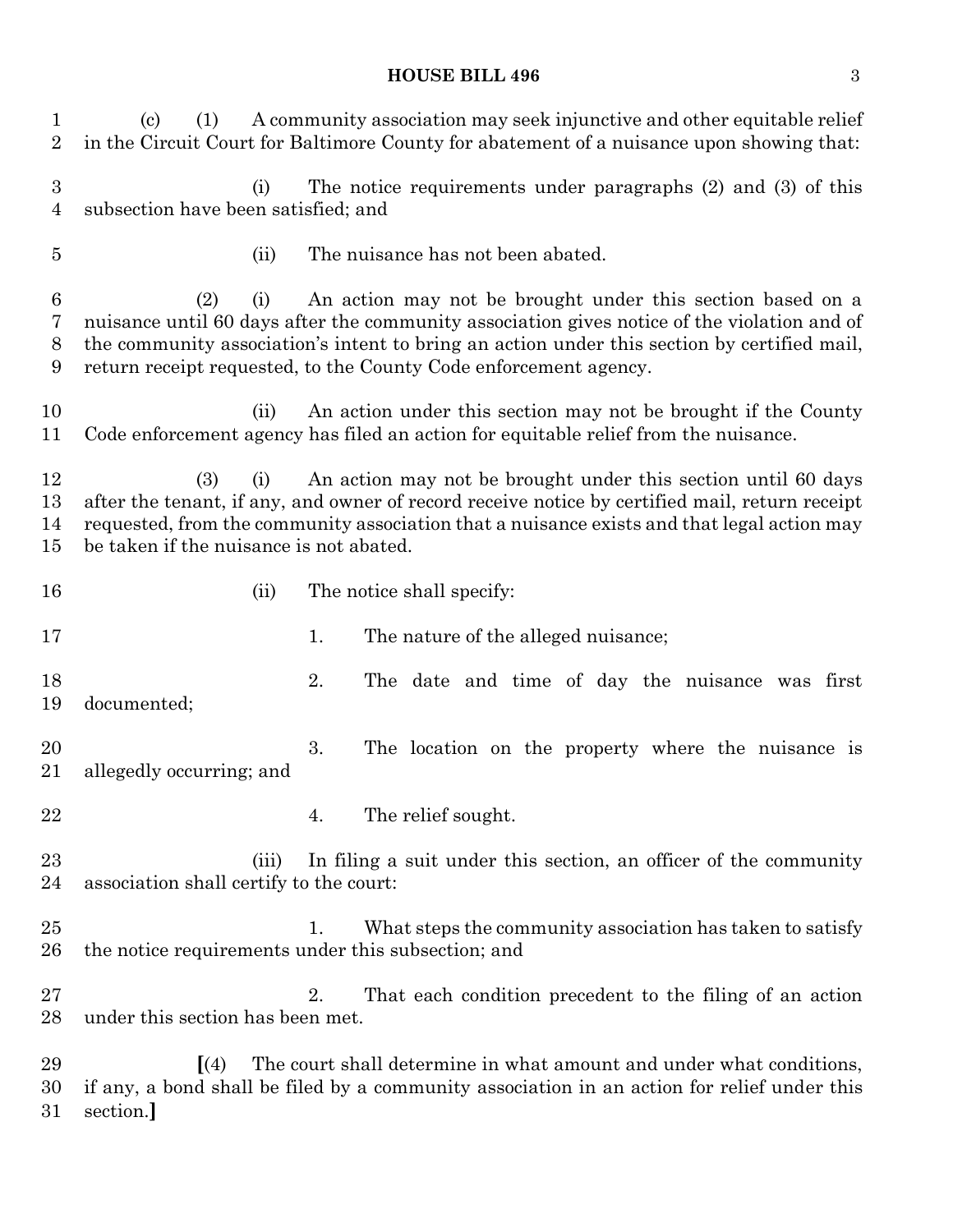#### **HOUSE BILL 496** 3

 (c) (1) A community association may seek injunctive and other equitable relief in the Circuit Court for Baltimore County for abatement of a nuisance upon showing that: (i) The notice requirements under paragraphs (2) and (3) of this subsection have been satisfied; and (ii) The nuisance has not been abated. (2) (i) An action may not be brought under this section based on a nuisance until 60 days after the community association gives notice of the violation and of the community association's intent to bring an action under this section by certified mail, return receipt requested, to the County Code enforcement agency. (ii) An action under this section may not be brought if the County Code enforcement agency has filed an action for equitable relief from the nuisance. (3) (i) An action may not be brought under this section until 60 days after the tenant, if any, and owner of record receive notice by certified mail, return receipt requested, from the community association that a nuisance exists and that legal action may be taken if the nuisance is not abated. 16 (ii) The notice shall specify: 17 1. The nature of the alleged nuisance; 2. The date and time of day the nuisance was first documented; 3. The location on the property where the nuisance is allegedly occurring; and 22 4. The relief sought. (iii) In filing a suit under this section, an officer of the community association shall certify to the court: 25 1. What steps the community association has taken to satisfy the notice requirements under this subsection; and 2. That each condition precedent to the filing of an action under this section has been met. **[**(4) The court shall determine in what amount and under what conditions, if any, a bond shall be filed by a community association in an action for relief under this section.**]**